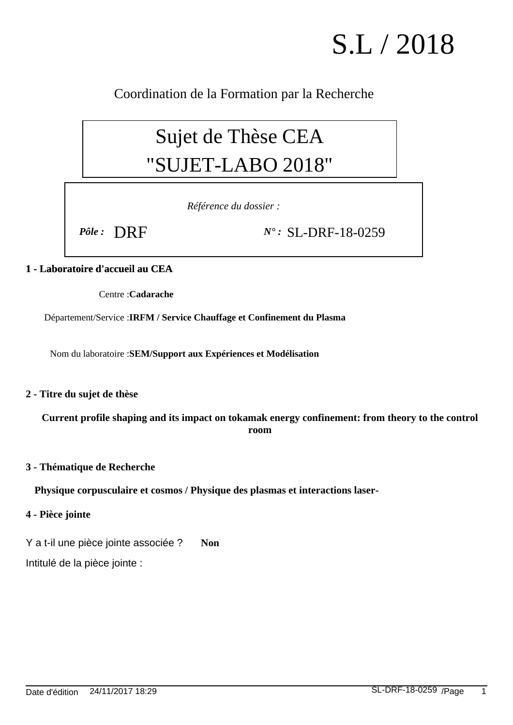# S.L / 2018

Coordination de la Formation par la Recherche

# Sujet de Thèse CEA "SUJET-LABO 2018"

*Référence du dossier :*

*Pôle :* DRF *N° :* SL-DRF-18-0259

# **1 - Laboratoire d'accueil au CEA**

Centre : **Cadarache**

Département/Service : **IRFM / Service Chauffage et Confinement du Plasma**

Nom du laboratoire : **SEM/Support aux Expériences et Modélisation**

## **2 - Titre du sujet de thèse**

**Current profile shaping and its impact on tokamak energy confinement: from theory to the control room**

#### **3 - Thématique de Recherche**

**Physique corpusculaire et cosmos / Physique des plasmas et interactions laser-**

#### **4 - Pièce jointe**

Y a t-il une pièce jointe associée ? **Non**

Intitulé de la pièce jointe :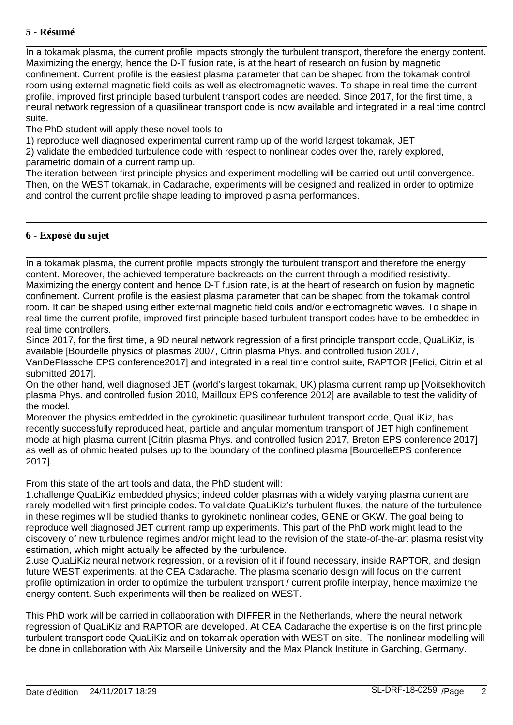### **5 - Résumé**

In a tokamak plasma, the current profile impacts strongly the turbulent transport, therefore the energy content. Maximizing the energy, hence the D-T fusion rate, is at the heart of research on fusion by magnetic confinement. Current profile is the easiest plasma parameter that can be shaped from the tokamak control room using external magnetic field coils as well as electromagnetic waves. To shape in real time the current profile, improved first principle based turbulent transport codes are needed. Since 2017, for the first time, a neural network regression of a quasilinear transport code is now available and integrated in a real time control suite.

The PhD student will apply these novel tools to

1) reproduce well diagnosed experimental current ramp up of the world largest tokamak, JET

2) validate the embedded turbulence code with respect to nonlinear codes over the, rarely explored, parametric domain of a current ramp up.

The iteration between first principle physics and experiment modelling will be carried out until convergence. Then, on the WEST tokamak, in Cadarache, experiments will be designed and realized in order to optimize and control the current profile shape leading to improved plasma performances.

#### **6 - Exposé du sujet**

In a tokamak plasma, the current profile impacts strongly the turbulent transport and therefore the energy content. Moreover, the achieved temperature backreacts on the current through a modified resistivity. Maximizing the energy content and hence D-T fusion rate, is at the heart of research on fusion by magnetic confinement. Current profile is the easiest plasma parameter that can be shaped from the tokamak control room. It can be shaped using either external magnetic field coils and/or electromagnetic waves. To shape in real time the current profile, improved first principle based turbulent transport codes have to be embedded in real time controllers.

Since 2017, for the first time, a 9D neural network regression of a first principle transport code, QuaLiKiz, is available [Bourdelle physics of plasmas 2007, Citrin plasma Phys. and controlled fusion 2017,

VanDePlassche EPS conference2017] and integrated in a real time control suite, RAPTOR [Felici, Citrin et al submitted 2017].

On the other hand, well diagnosed JET (world's largest tokamak, UK) plasma current ramp up [Voitsekhovitch plasma Phys. and controlled fusion 2010, Mailloux EPS conference 2012] are available to test the validity of the model.

Moreover the physics embedded in the gyrokinetic quasilinear turbulent transport code, QuaLiKiz, has recently successfully reproduced heat, particle and angular momentum transport of JET high confinement mode at high plasma current [Citrin plasma Phys. and controlled fusion 2017, Breton EPS conference 2017] as well as of ohmic heated pulses up to the boundary of the confined plasma [BourdelleEPS conference 2017].

From this state of the art tools and data, the PhD student will:

1. challenge QuaLiKiz embedded physics; indeed colder plasmas with a widely varying plasma current are rarely modelled with first principle codes. To validate QuaLiKiz's turbulent fluxes, the nature of the turbulence in these regimes will be studied thanks to gyrokinetic nonlinear codes, GENE or GKW. The goal being to reproduce well diagnosed JET current ramp up experiments. This part of the PhD work might lead to the discovery of new turbulence regimes and/or might lead to the revision of the state-of-the-art plasma resistivity estimation, which might actually be affected by the turbulence.

2. use QuaLiKiz neural network regression, or a revision of it if found necessary, inside RAPTOR, and design future WEST experiments, at the CEA Cadarache. The plasma scenario design will focus on the current profile optimization in order to optimize the turbulent transport / current profile interplay, hence maximize the energy content. Such experiments will then be realized on WEST.

This PhD work will be carried in collaboration with DIFFER in the Netherlands, where the neural network regression of QuaLiKiz and RAPTOR are developed. At CEA Cadarache the expertise is on the first principle turbulent transport code QuaLiKiz and on tokamak operation with WEST on site. The nonlinear modelling will be done in collaboration with Aix Marseille University and the Max Planck Institute in Garching, Germany.